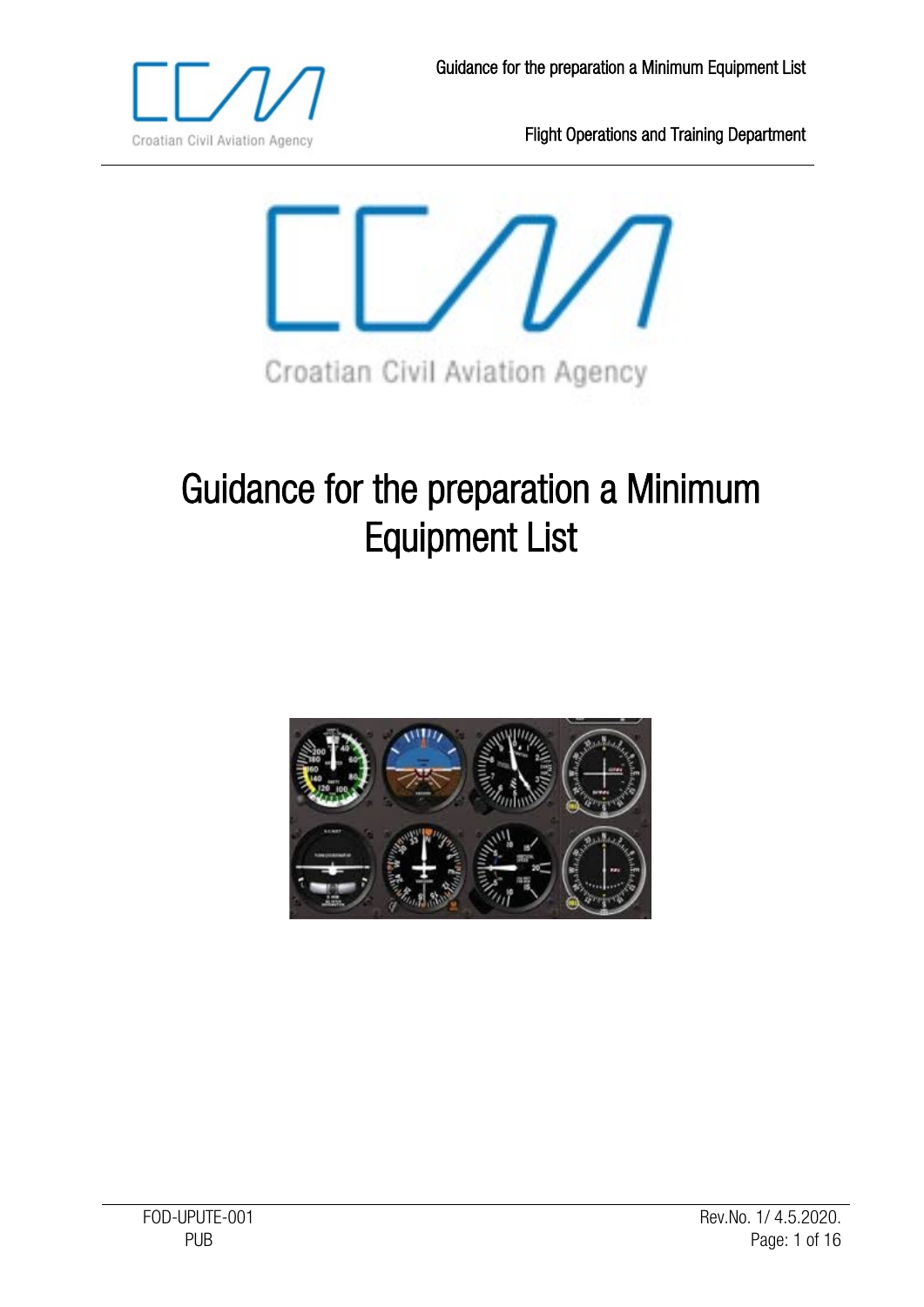



# Guidance for the preparation a Minimum Equipment List

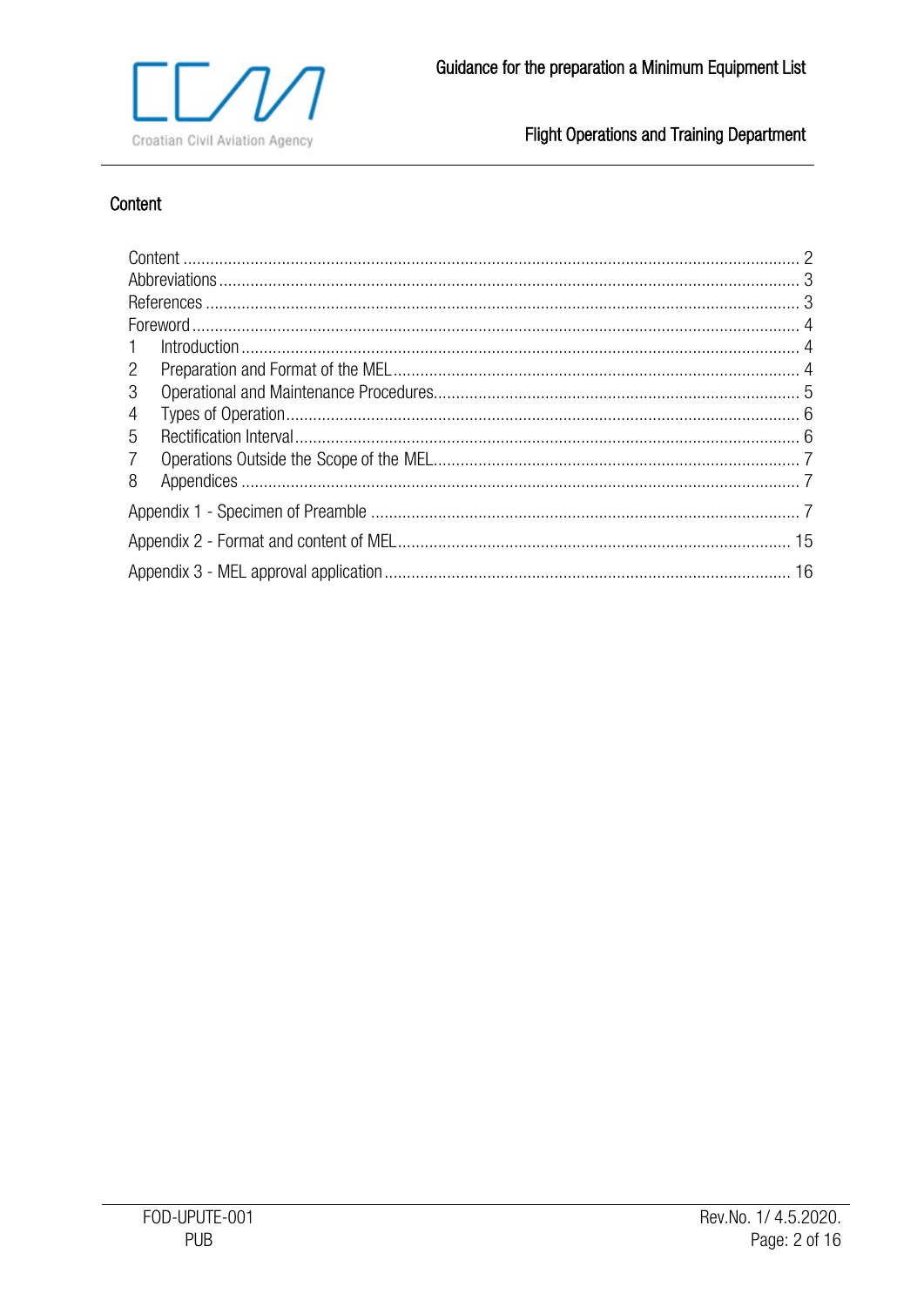

# <span id="page-1-0"></span>Content

| $\mathbf{2}^{\prime}$ |  |  |  |  |  |
|-----------------------|--|--|--|--|--|
| 3                     |  |  |  |  |  |
| 4                     |  |  |  |  |  |
| 5                     |  |  |  |  |  |
| $\overline{7}$        |  |  |  |  |  |
| 8                     |  |  |  |  |  |
|                       |  |  |  |  |  |
|                       |  |  |  |  |  |
|                       |  |  |  |  |  |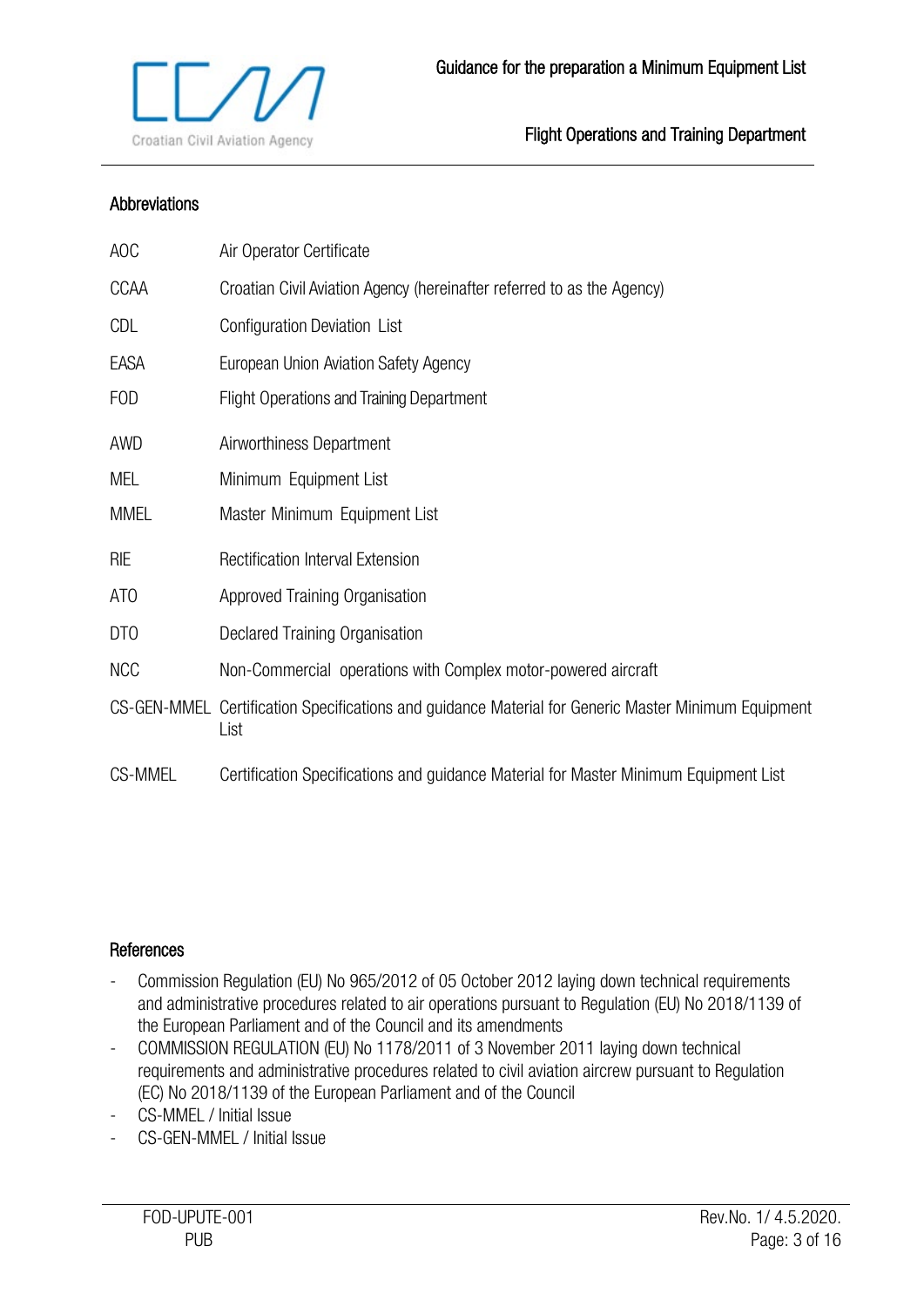

#### <span id="page-2-0"></span>Abbreviations

| AOC             | Air Operator Certificate                                                                                    |
|-----------------|-------------------------------------------------------------------------------------------------------------|
| <b>CCAA</b>     | Croatian Civil Aviation Agency (hereinafter referred to as the Agency)                                      |
| CDL             | Configuration Deviation List                                                                                |
| EASA            | European Union Aviation Safety Agency                                                                       |
| FOD             | <b>Flight Operations and Training Department</b>                                                            |
| AWD             | Airworthiness Department                                                                                    |
| MEL             | Minimum Equipment List                                                                                      |
| <b>MMEL</b>     | Master Minimum Equipment List                                                                               |
| <b>RIE</b>      | Rectification Interval Extension                                                                            |
| AT <sub>0</sub> | Approved Training Organisation                                                                              |
| DT <sub>0</sub> | Declared Training Organisation                                                                              |
| <b>NCC</b>      | Non-Commercial operations with Complex motor-powered aircraft                                               |
|                 | CS-GEN-MMEL Certification Specifications and guidance Material for Generic Master Minimum Equipment<br>List |
| <b>CS-MMEL</b>  | Certification Specifications and guidance Material for Master Minimum Equipment List                        |

#### <span id="page-2-1"></span>**References**

- Commission Regulation (EU) No 965/2012 of 05 October 2012 laying down technical requirements and administrative procedures related to air operations pursuant to Regulation (EU) No 2018/1139 of the European Parliament and of the Council and its amendments
- COMMISSION REGULATION (EU) No 1178/2011 of 3 November 2011 laying down technical requirements and administrative procedures related to civil aviation aircrew pursuant to Regulation (EC) No 2018/1139 of the European Parliament and of the Council
- CS-MMEL / Initial Issue
- CS-GEN-MMEL / Initial Issue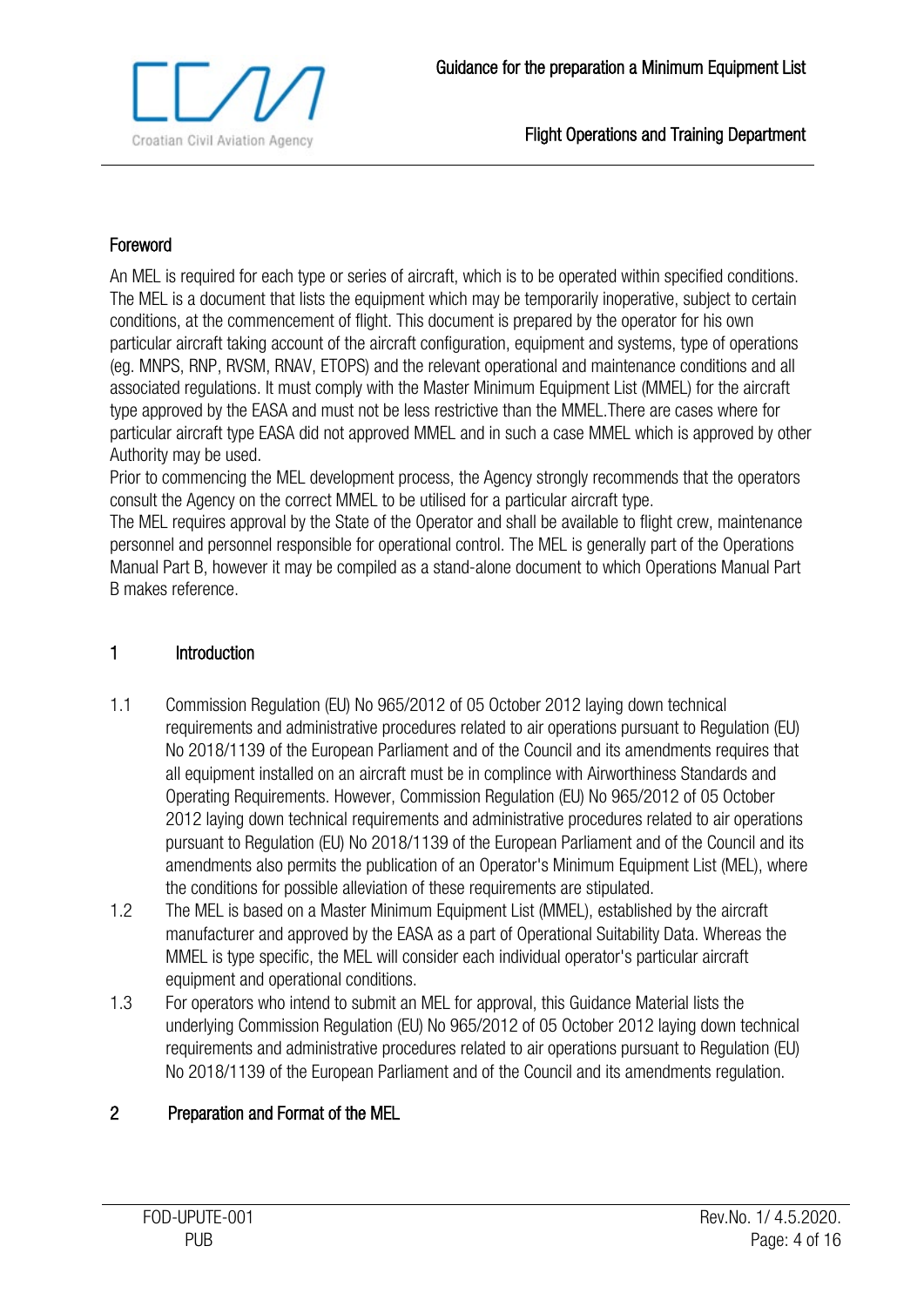

## <span id="page-3-0"></span>Foreword

An MEL is required for each type or series of aircraft, which is to be operated within specified conditions. The MEL is a document that lists the equipment which may be temporarily inoperative, subject to certain conditions, at the commencement of flight. This document is prepared by the operator for his own particular aircraft taking account of the aircraft configuration, equipment and systems, type of operations (eg. MNPS, RNP, RVSM, RNAV, ETOPS) and the relevant operational and maintenance conditions and all associated regulations. It must comply with the Master Minimum Equipment List (MMEL) for the aircraft type approved by the EASA and must not be less restrictive than the MMEL.There are cases where for particular aircraft type EASA did not approved MMEL and in such a case MMEL which is approved by other Authority may be used.

Prior to commencing the MEL development process, the Agency strongly recommends that the operators consult the Agency on the correct MMEL to be utilised for a particular aircraft type.

The MEL requires approval by the State of the Operator and shall be available to flight crew, maintenance personnel and personnel responsible for operational control. The MEL is generally part of the Operations Manual Part B, however it may be compiled as a stand-alone document to which Operations Manual Part B makes reference.

## <span id="page-3-1"></span>1 Introduction

- 1.1 Commission Regulation (EU) No 965/2012 of 05 October 2012 laying down technical requirements and administrative procedures related to air operations pursuant to Regulation (EU) No 2018/1139 of the European Parliament and of the Council and its amendments requires that all equipment installed on an aircraft must be in complince with Airworthiness Standards and Operating Requirements. However, Commission Regulation (EU) No 965/2012 of 05 October 2012 laying down technical requirements and administrative procedures related to air operations pursuant to Regulation (EU) No 2018/1139 of the European Parliament and of the Council and its amendments also permits the publication of an Operator's Minimum Equipment List (MEL), where the conditions for possible alleviation of these requirements are stipulated.
- 1.2 The MEL is based on a Master Minimum Equipment List (MMEL), established by the aircraft manufacturer and approved by the EASA as a part of Operational Suitability Data. Whereas the MMEL is type specific, the MEL will consider each individual operator's particular aircraft equipment and operational conditions.
- 1.3 For operators who intend to submit an MEL for approval, this Guidance Material lists the underlying Commission Regulation (EU) No 965/2012 of 05 October 2012 laying down technical requirements and administrative procedures related to air operations pursuant to Regulation (EU) No 2018/1139 of the European Parliament and of the Council and its amendments regulation.

## <span id="page-3-2"></span>2 Preparation and Format of the MEL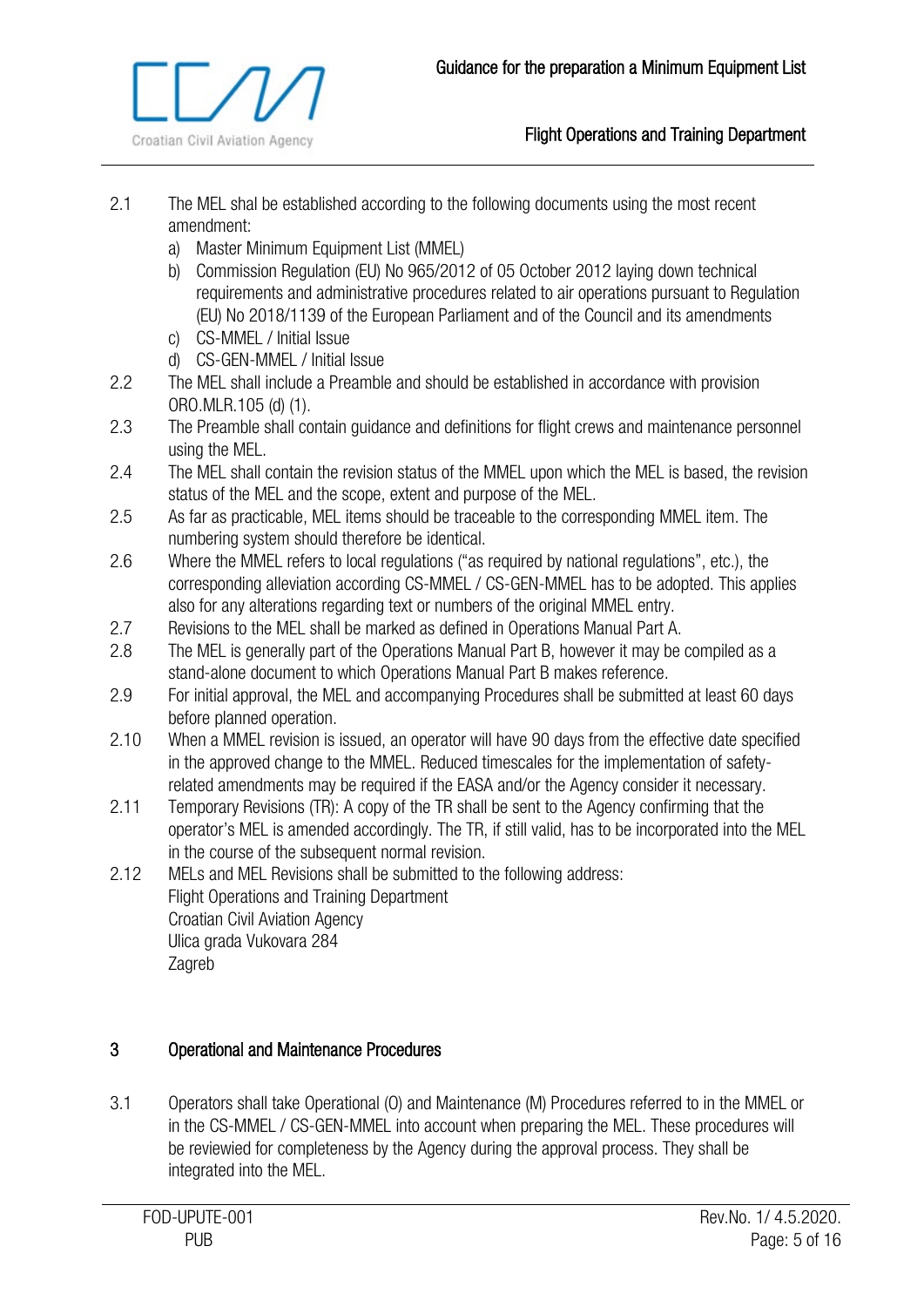

- 2.1 The MEL shal be established according to the following documents using the most recent amendment:
	- a) Master Minimum Equipment List (MMEL)
	- b) Commission Regulation (EU) No 965/2012 of 05 October 2012 laying down technical requirements and administrative procedures related to air operations pursuant to Regulation (EU) No 2018/1139 of the European Parliament and of the Council and its amendments
	- c) CS-MMEL / Initial Issue
	- d) CS-GEN-MMEL / Initial Issue
- 2.2 The MEL shall include a Preamble and should be established in accordance with provision ORO.MLR.105 (d) (1).
- 2.3 The Preamble shall contain guidance and definitions for flight crews and maintenance personnel using the MEL.
- 2.4 The MEL shall contain the revision status of the MMEL upon which the MEL is based, the revision status of the MEL and the scope, extent and purpose of the MEL.
- 2.5 As far as practicable, MEL items should be traceable to the corresponding MMEL item. The numbering system should therefore be identical.
- 2.6 Where the MMEL refers to local regulations ("as required by national regulations", etc.), the corresponding alleviation according CS-MMEL / CS-GEN-MMEL has to be adopted. This applies also for any alterations regarding text or numbers of the original MMEL entry.
- 2.7 Revisions to the MEL shall be marked as defined in Operations Manual Part A.
- 2.8 The MEL is generally part of the Operations Manual Part B, however it may be compiled as a stand-alone document to which Operations Manual Part B makes reference.
- 2.9 For initial approval, the MEL and accompanying Procedures shall be submitted at least 60 days before planned operation.
- 2.10 When a MMEL revision is issued, an operator will have 90 days from the effective date specified in the approved change to the MMEL. Reduced timescales for the implementation of safetyrelated amendments may be required if the EASA and/or the Agency consider it necessary.
- 2.11 Temporary Revisions (TR): A copy of the TR shall be sent to the Agency confirming that the operator's MEL is amended accordingly. The TR, if still valid, has to be incorporated into the MEL in the course of the subsequent normal revision.
- 2.12 MELs and MEL Revisions shall be submitted to the following address: Flight Operations and Training Department Croatian Civil Aviation Agency Ulica grada Vukovara 284 Zagreb

## <span id="page-4-0"></span>3 Operational and Maintenance Procedures

3.1 Operators shall take Operational (O) and Maintenance (M) Procedures referred to in the MMEL or in the CS-MMEL / CS-GEN-MMEL into account when preparing the MEL. These procedures will be reviewied for completeness by the Agency during the approval process. They shall be integrated into the MEL.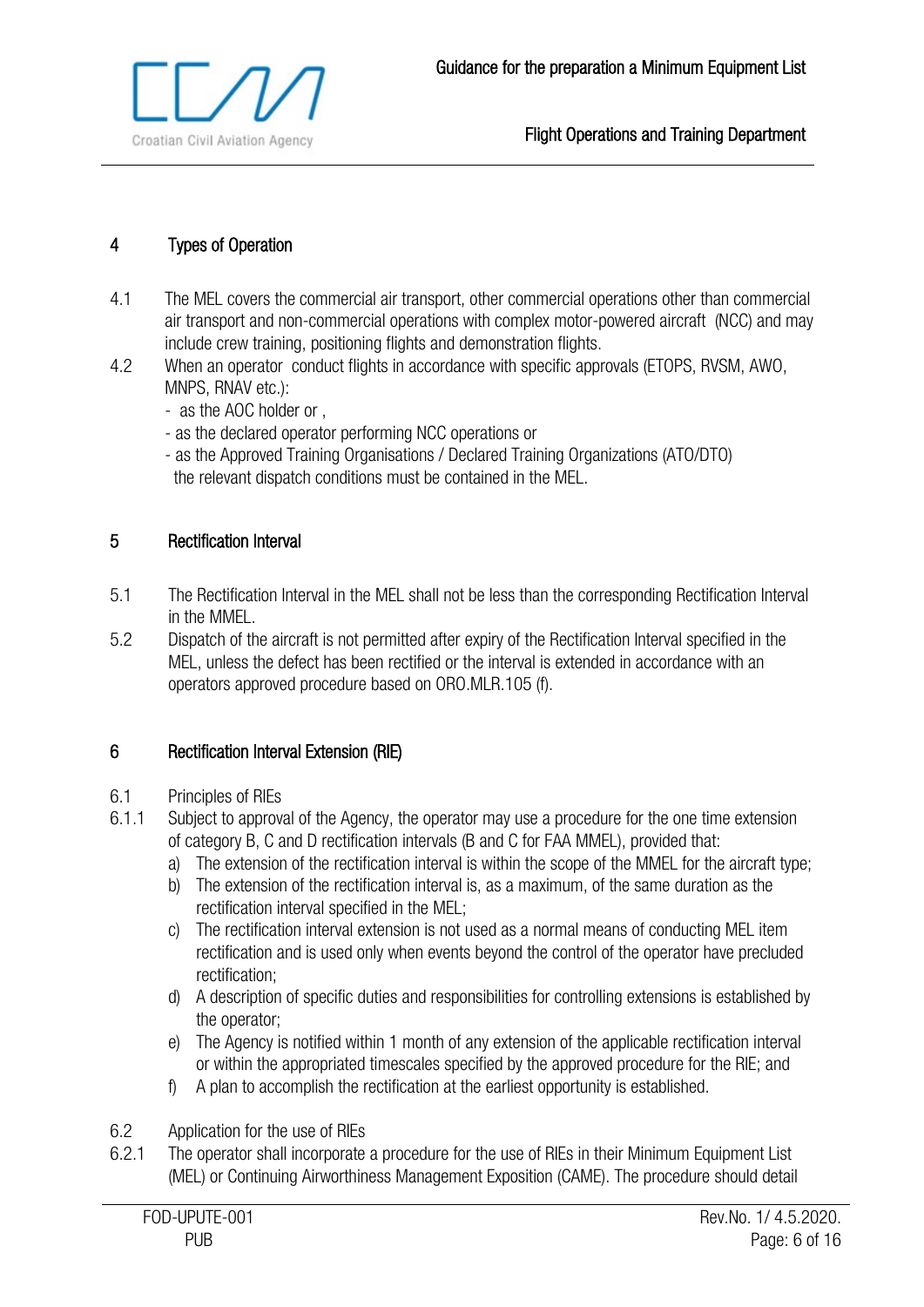

## <span id="page-5-0"></span>4 Types of Operation

- 4.1 The MEL covers the commercial air transport, other commercial operations other than commercial air transport and non-commercial operations with complex motor-powered aircraft (NCC) and may include crew training, positioning flights and demonstration flights.
- 4.2 When an operator conduct flights in accordance with specific approvals (ETOPS, RVSM, AWO, MNPS, RNAV etc.):
	- as the AOC holder or ,
	- as the declared operator performing NCC operations or
	- as the Approved Training Organisations / Declared Training Organizations (ATO/DTO) the relevant dispatch conditions must be contained in the MEL.

## <span id="page-5-1"></span>5 Rectification Interval

- 5.1 The Rectification Interval in the MEL shall not be less than the corresponding Rectification Interval in the MMEL.
- 5.2 Dispatch of the aircraft is not permitted after expiry of the Rectification Interval specified in the MEL, unless the defect has been rectified or the interval is extended in accordance with an operators approved procedure based on ORO.MLR.105 (f).

## 6 Rectification Interval Extension (RIE)

- 6.1 Principles of RIEs
- 6.1.1 Subject to approval of the Agency, the operator may use a procedure for the one time extension of category B, C and D rectification intervals (B and C for FAA MMEL), provided that:
	- a) The extension of the rectification interval is within the scope of the MMEL for the aircraft type;
	- b) The extension of the rectification interval is, as a maximum, of the same duration as the rectification interval specified in the MEL;
	- c) The rectification interval extension is not used as a normal means of conducting MEL item rectification and is used only when events beyond the control of the operator have precluded rectification;
	- d) A description of specific duties and responsibilities for controlling extensions is established by the operator;
	- e) The Agency is notified within 1 month of any extension of the applicable rectification interval or within the appropriated timescales specified by the approved procedure for the RIE; and
	- f) A plan to accomplish the rectification at the earliest opportunity is established.
- 6.2 Application for the use of RIEs
- 6.2.1 The operator shall incorporate a procedure for the use of RIEs in their Minimum Equipment List (MEL) or Continuing Airworthiness Management Exposition (CAME). The procedure should detail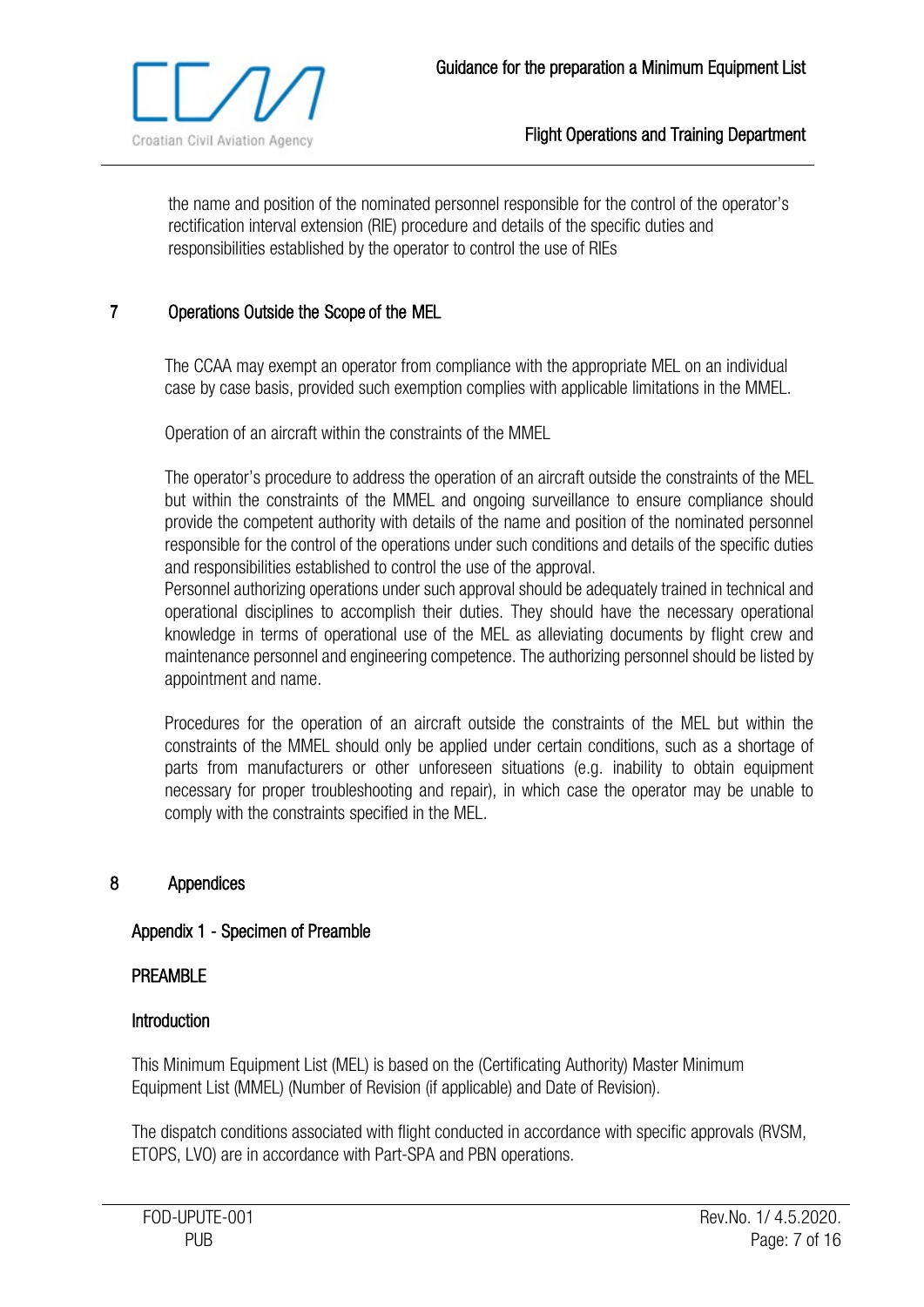

the name and position of the nominated personnel responsible for the control of the operator's rectification interval extension (RIE) procedure and details of the specific duties and responsibilities established by the operator to control the use of RIEs

## <span id="page-6-0"></span>**7** Operations Outside the Scope of the MEL

The CCAA may exempt an operator from compliance with the appropriate MEL on an individual case by case basis, provided such exemption complies with applicable limitations in the MMEL.

Operation of an aircraft within the constraints of the MMEL

The operator's procedure to address the operation of an aircraft outside the constraints of the MEL but within the constraints of the MMEL and ongoing surveillance to ensure compliance should provide the competent authority with details of the name and position of the nominated personnel responsible for the control of the operations under such conditions and details of the specific duties and responsibilities established to control the use of the approval.

Personnel authorizing operations under such approval should be adequately trained in technical and operational disciplines to accomplish their duties. They should have the necessary operational knowledge in terms of operational use of the MEL as alleviating documents by flight crew and maintenance personnel and engineering competence. The authorizing personnel should be listed by appointment and name.

Procedures for the operation of an aircraft outside the constraints of the MEL but within the constraints of the MMEL should only be applied under certain conditions, such as a shortage of parts from manufacturers or other unforeseen situations (e.g. inability to obtain equipment necessary for proper troubleshooting and repair), in which case the operator may be unable to comply with the constraints specified in the MEL.

#### <span id="page-6-1"></span>8 Appendices

#### <span id="page-6-2"></span>Appendix 1 - Specimen of Preamble

#### PREAMBLE

#### **Introduction**

This Minimum Equipment List (MEL) is based on the (Certificating Authority) Master Minimum Equipment List (MMEL) (Number of Revision (if applicable) and Date of Revision).

The dispatch conditions associated with flight conducted in accordance with specific approvals (RVSM, ETOPS, LVO) are in accordance with Part-SPA and PBN operations.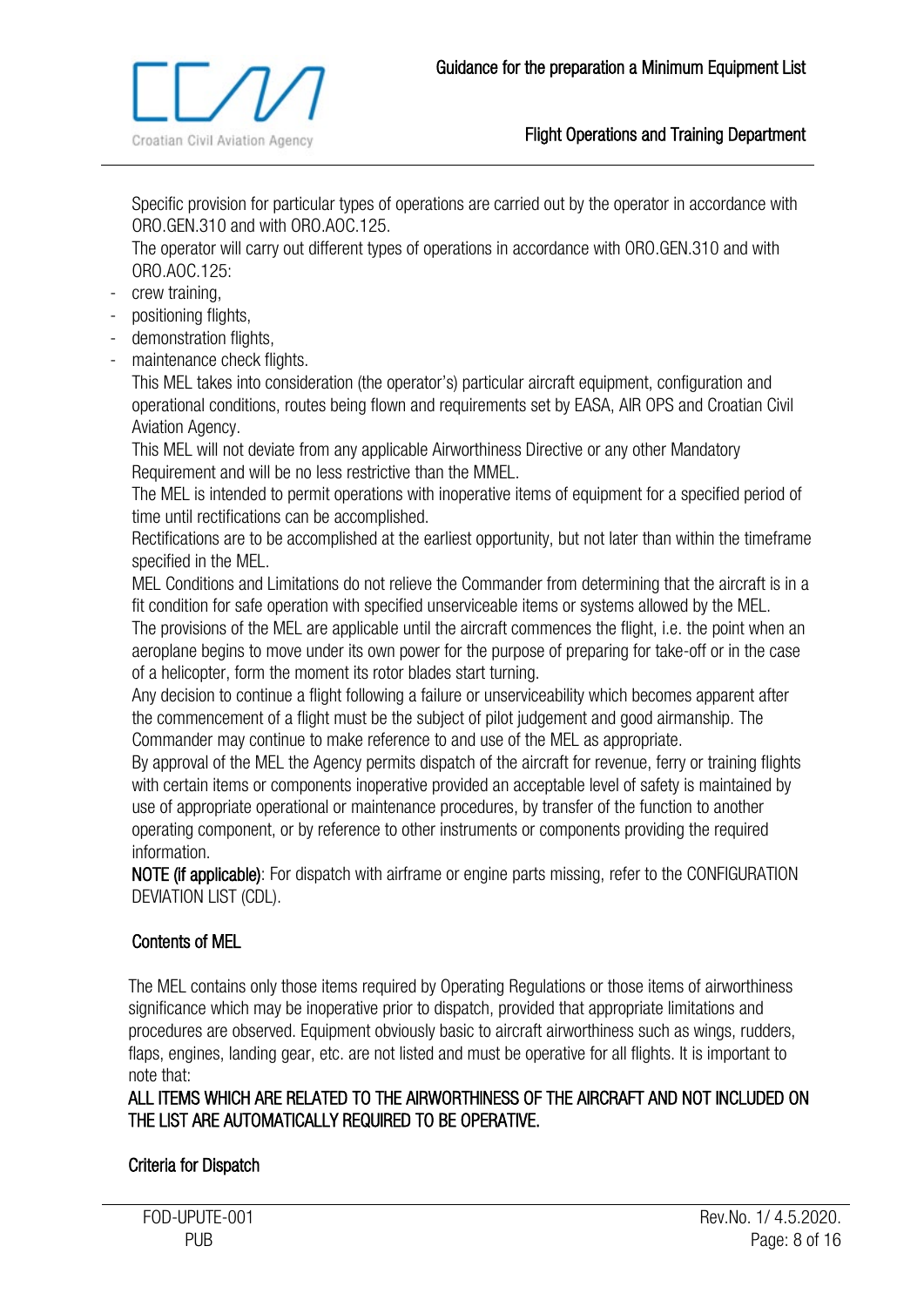

Specific provision for particular types of operations are carried out by the operator in accordance with ORO.GEN.310 and with ORO.AOC.125.

The operator will carry out different types of operations in accordance with ORO.GEN.310 and with ORO.AOC.125:

- crew training,
- positioning flights,
- demonstration flights,
- maintenance check flights.

This MEL takes into consideration (the operator's) particular aircraft equipment, configuration and operational conditions, routes being flown and requirements set by EASA, AIR OPS and Croatian Civil Aviation Agency.

This MEL will not deviate from any applicable Airworthiness Directive or any other Mandatory Requirement and will be no less restrictive than the MMEL.

The MEL is intended to permit operations with inoperative items of equipment for a specified period of time until rectifications can be accomplished.

Rectifications are to be accomplished at the earliest opportunity, but not later than within the timeframe specified in the MEL.

MEL Conditions and Limitations do not relieve the Commander from determining that the aircraft is in a fit condition for safe operation with specified unserviceable items or systems allowed by the MEL.

The provisions of the MEL are applicable until the aircraft commences the flight, i.e. the point when an aeroplane begins to move under its own power for the purpose of preparing for take-off or in the case of a helicopter, form the moment its rotor blades start turning.

Any decision to continue a flight following a failure or unserviceability which becomes apparent after the commencement of a flight must be the subject of pilot judgement and good airmanship. The Commander may continue to make reference to and use of the MEL as appropriate.

By approval of the MEL the Agency permits dispatch of the aircraft for revenue, ferry or training flights with certain items or components inoperative provided an acceptable level of safety is maintained by use of appropriate operational or maintenance procedures, by transfer of the function to another operating component, or by reference to other instruments or components providing the required information.

NOTE (if applicable): For dispatch with airframe or engine parts missing, refer to the CONFIGURATION DEVIATION LIST (CDL).

## Contents of MEL

The MEL contains only those items required by Operating Regulations or those items of airworthiness significance which may be inoperative prior to dispatch, provided that appropriate limitations and procedures are observed. Equipment obviously basic to aircraft airworthiness such as wings, rudders, flaps, engines, landing gear, etc. are not listed and must be operative for all flights. It is important to note that:

ALL ITEMS WHICH ARE RELATED TO THE AIRWORTHINESS OF THE AIRCRAFT AND NOT INCLUDED ON THE LIST ARE AUTOMATICALLY REQUIRED TO BE OPERATIVE.

## Criteria for Dispatch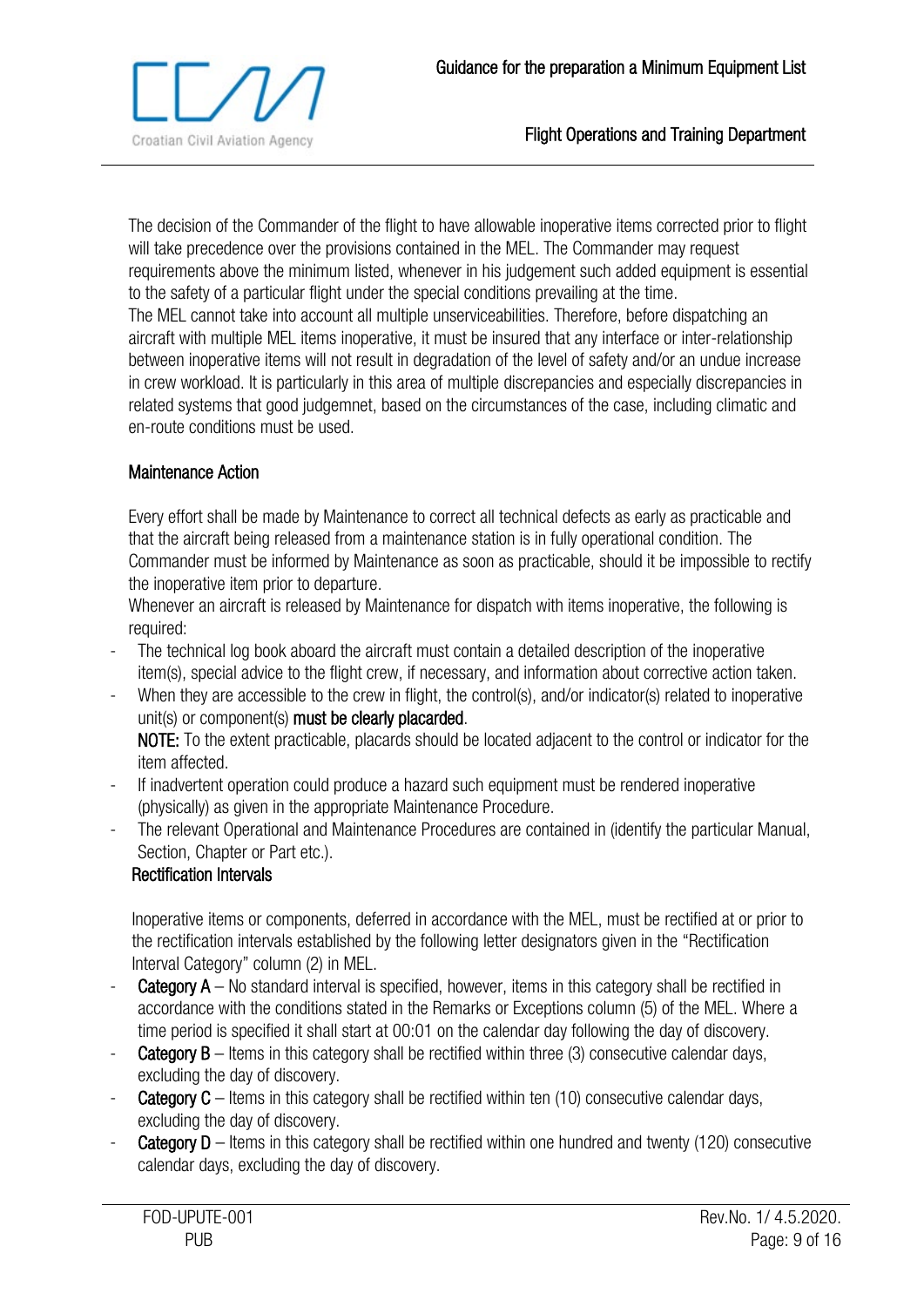

The decision of the Commander of the flight to have allowable inoperative items corrected prior to flight will take precedence over the provisions contained in the MEL. The Commander may request requirements above the minimum listed, whenever in his judgement such added equipment is essential to the safety of a particular flight under the special conditions prevailing at the time. The MEL cannot take into account all multiple unserviceabilities. Therefore, before dispatching an aircraft with multiple MEL items inoperative, it must be insured that any interface or inter-relationship between inoperative items will not result in degradation of the level of safety and/or an undue increase in crew workload. It is particularly in this area of multiple discrepancies and especially discrepancies in related systems that good judgemnet, based on the circumstances of the case, including climatic and en-route conditions must be used.

#### Maintenance Action

Every effort shall be made by Maintenance to correct all technical defects as early as practicable and that the aircraft being released from a maintenance station is in fully operational condition. The Commander must be informed by Maintenance as soon as practicable, should it be impossible to rectify the inoperative item prior to departure.

Whenever an aircraft is released by Maintenance for dispatch with items inoperative, the following is required:

- The technical log book aboard the aircraft must contain a detailed description of the inoperative item(s), special advice to the flight crew, if necessary, and information about corrective action taken.
- When they are accessible to the crew in flight, the control(s), and/or indicator(s) related to inoperative unit(s) or component(s) must be clearly placarded. NOTE: To the extent practicable, placards should be located adjacent to the control or indicator for the item affected.
- If inadvertent operation could produce a hazard such equipment must be rendered inoperative (physically) as given in the appropriate Maintenance Procedure.
- The relevant Operational and Maintenance Procedures are contained in (identify the particular Manual, Section, Chapter or Part etc.).

## Rectification Intervals

Inoperative items or components, deferred in accordance with the MEL, must be rectified at or prior to the rectification intervals established by the following letter designators given in the "Rectification Interval Category" column (2) in MEL.

- **Category A** No standard interval is specified, however, items in this category shall be rectified in accordance with the conditions stated in the Remarks or Exceptions column (5) of the MEL. Where a time period is specified it shall start at 00:01 on the calendar day following the day of discovery.
- **Category B** Items in this category shall be rectified within three (3) consecutive calendar days, excluding the day of discovery.
- **Category C** Items in this category shall be rectified within ten (10) consecutive calendar days, excluding the day of discovery.
- **Category D** Items in this category shall be rectified within one hundred and twenty (120) consecutive calendar days, excluding the day of discovery.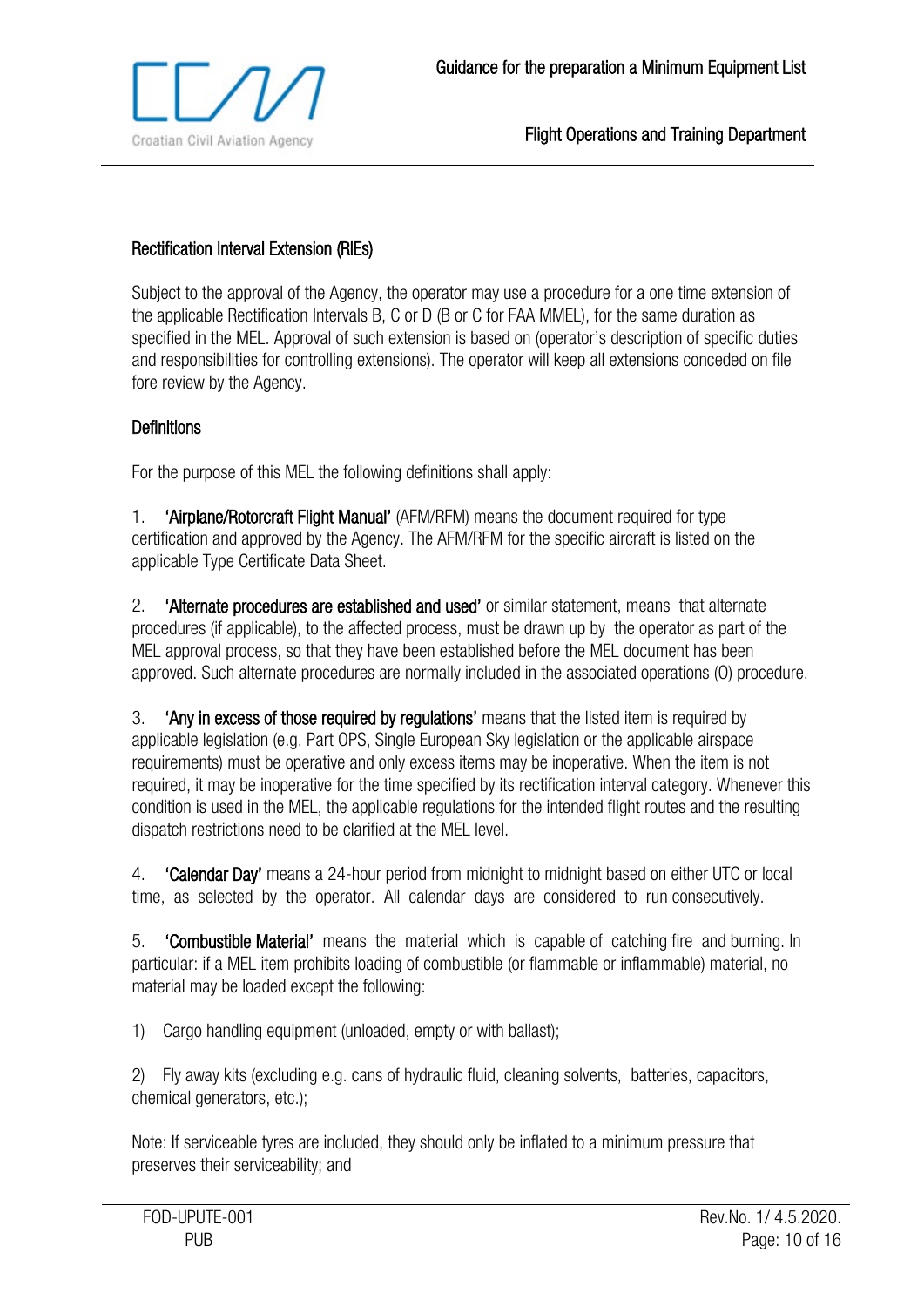

## Rectification Interval Extension (RIEs)

Subject to the approval of the Agency, the operator may use a procedure for a one time extension of the applicable Rectification Intervals B, C or D (B or C for FAA MMEL), for the same duration as specified in the MEL. Approval of such extension is based on (operator's description of specific duties and responsibilities for controlling extensions). The operator will keep all extensions conceded on file fore review by the Agency.

#### **Definitions**

For the purpose of this MEL the following definitions shall apply:

1. 'Airplane/Rotorcraft Flight Manual' (AFM/RFM) means the document required for type certification and approved by the Agency. The AFM/RFM for the specific aircraft is listed on the applicable Type Certificate Data Sheet.

2. 'Alternate procedures are established and used' or similar statement, means that alternate procedures (if applicable), to the affected process, must be drawn up by the operator as part of the MEL approval process, so that they have been established before the MEL document has been approved. Such alternate procedures are normally included in the associated operations (O) procedure.

3. 'Any in excess of those required by regulations' means that the listed item is required by applicable legislation (e.g. Part OPS, Single European Sky legislation or the applicable airspace requirements) must be operative and only excess items may be inoperative. When the item is not required, it may be inoperative for the time specified by its rectification interval category. Whenever this condition is used in the MEL, the applicable regulations for the intended flight routes and the resulting dispatch restrictions need to be clarified at the MEL level.

4. **'Calendar Day'** means a 24-hour period from midnight to midnight based on either UTC or local time, as selected by the operator. All calendar days are considered to run consecutively.

5. 'Combustible Material' means the material which is capable of catching fire and burning. In particular: if a MEL item prohibits loading of combustible (or flammable or inflammable) material, no material may be loaded except the following:

1) Cargo handling equipment (unloaded, empty or with ballast);

2) Fly away kits (excluding e.g. cans of hydraulic fluid, cleaning solvents, batteries, capacitors, chemical generators, etc.);

Note: If serviceable tyres are included, they should only be inflated to a minimum pressure that preserves their serviceability; and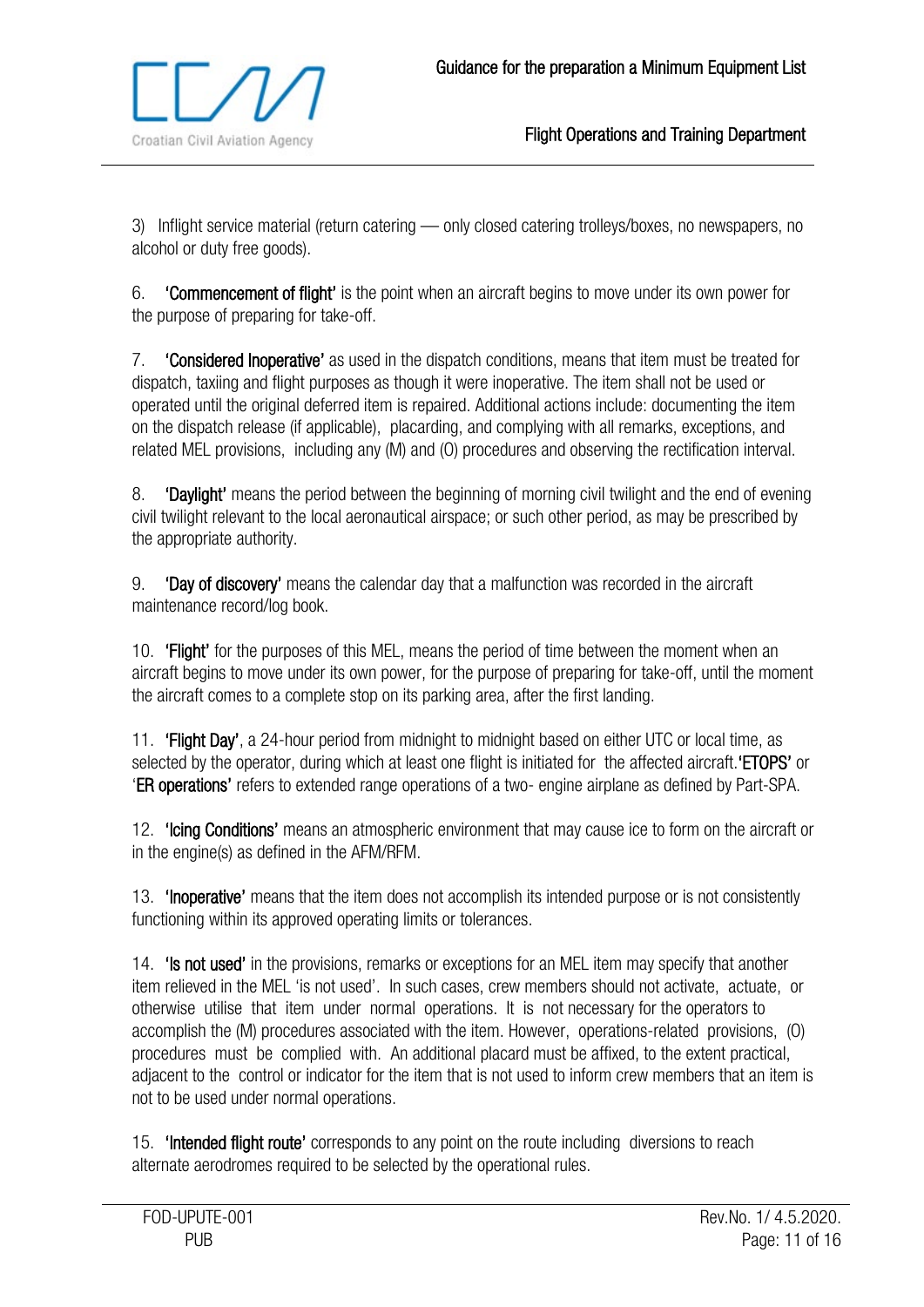

3) Inflight service material (return catering — only closed catering trolleys/boxes, no newspapers, no alcohol or duty free goods).

6. 'Commencement of flight' is the point when an aircraft begins to move under its own power for the purpose of preparing for take-off.

7. 'Considered Inoperative' as used in the dispatch conditions, means that item must be treated for dispatch, taxiing and flight purposes as though it were inoperative. The item shall not be used or operated until the original deferred item is repaired. Additional actions include: documenting the item on the dispatch release (if applicable), placarding, and complying with all remarks, exceptions, and related MEL provisions, including any (M) and (O) procedures and observing the rectification interval.

8. **'Daylight'** means the period between the beginning of morning civil twilight and the end of evening civil twilight relevant to the local aeronautical airspace; or such other period, as may be prescribed by the appropriate authority.

9. 'Day of discovery' means the calendar day that a malfunction was recorded in the aircraft maintenance record/log book.

10. **'Flight'** for the purposes of this MEL, means the period of time between the moment when an aircraft begins to move under its own power, for the purpose of preparing for take-off, until the moment the aircraft comes to a complete stop on its parking area, after the first landing.

11. **'Flight Day'**, a 24-hour period from midnight to midnight based on either UTC or local time, as selected by the operator, during which at least one flight is initiated for the affected aircraft. **ETOPS'** or 'ER operations' refers to extended range operations of a two- engine airplane as defined by Part-SPA.

12. **'Icing Conditions'** means an atmospheric environment that may cause ice to form on the aircraft or in the engine(s) as defined in the AFM/RFM.

13. 'Inoperative' means that the item does not accomplish its intended purpose or is not consistently functioning within its approved operating limits or tolerances.

14. **'Is not used'** in the provisions, remarks or exceptions for an MEL item may specify that another item relieved in the MEL 'is not used'. In such cases, crew members should not activate, actuate, or otherwise utilise that item under normal operations. It is not necessary for the operators to accomplish the (M) procedures associated with the item. However, operations-related provisions, (O) procedures must be complied with. An additional placard must be affixed, to the extent practical, adjacent to the control or indicator for the item that is not used to inform crew members that an item is not to be used under normal operations.

15. **'Intended flight route'** corresponds to any point on the route including diversions to reach alternate aerodromes required to be selected by the operational rules.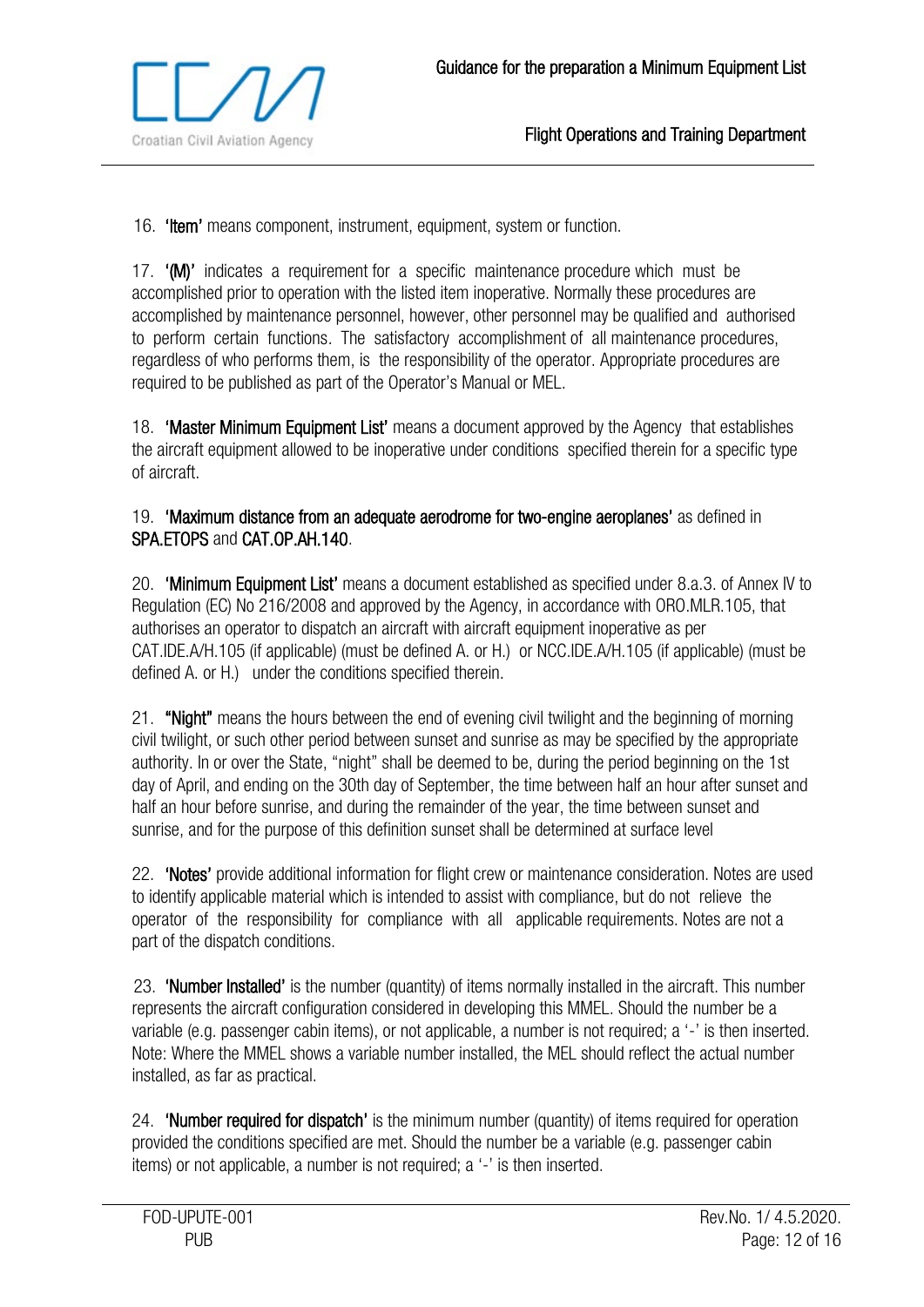

16. **'Item'** means component, instrument, equipment, system or function.

17. '(M)' indicates a requirement for a specific maintenance procedure which must be accomplished prior to operation with the listed item inoperative. Normally these procedures are accomplished by maintenance personnel, however, other personnel may be qualified and authorised to perform certain functions. The satisfactory accomplishment of all maintenance procedures, regardless of who performs them, is the responsibility of the operator. Appropriate procedures are required to be published as part of the Operator's Manual or MEL.

18. **'Master Minimum Equipment List'** means a document approved by the Agency that establishes the aircraft equipment allowed to be inoperative under conditions specified therein for a specific type of aircraft.

#### 19. 'Maximum distance from an adequate aerodrome for two-engine aeroplanes' as defined in SPA.ETOPS and CAT.OP.AH.140.

20. 'Minimum Equipment List' means a document established as specified under 8.a.3. of Annex IV to Regulation (EC) No 216/2008 and approved by the Agency, in accordance with ORO.MLR.105, that authorises an operator to dispatch an aircraft with aircraft equipment inoperative as per CAT.IDE.A/H.105 (if applicable) (must be defined A. or H.) or NCC.IDE.A/H.105 (if applicable) (must be defined A. or H.) under the conditions specified therein.

21. "Night" means the hours between the end of evening civil twilight and the beginning of morning civil twilight, or such other period between sunset and sunrise as may be specified by the appropriate authority. In or over the State, "night" shall be deemed to be, during the period beginning on the 1st day of April, and ending on the 30th day of September, the time between half an hour after sunset and half an hour before sunrise, and during the remainder of the year, the time between sunset and sunrise, and for the purpose of this definition sunset shall be determined at surface level

22. 'Notes' provide additional information for flight crew or maintenance consideration. Notes are used to identify applicable material which is intended to assist with compliance, but do not relieve the operator of the responsibility for compliance with all applicable requirements. Notes are not a part of the dispatch conditions.

23. 'Number Installed' is the number (quantity) of items normally installed in the aircraft. This number represents the aircraft configuration considered in developing this MMEL. Should the number be a variable (e.g. passenger cabin items), or not applicable, a number is not required; a '-' is then inserted. Note: Where the MMEL shows a variable number installed, the MEL should reflect the actual number installed, as far as practical.

24. **'Number required for dispatch'** is the minimum number (quantity) of items required for operation provided the conditions specified are met. Should the number be a variable (e.g. passenger cabin items) or not applicable, a number is not required; a '-' is then inserted.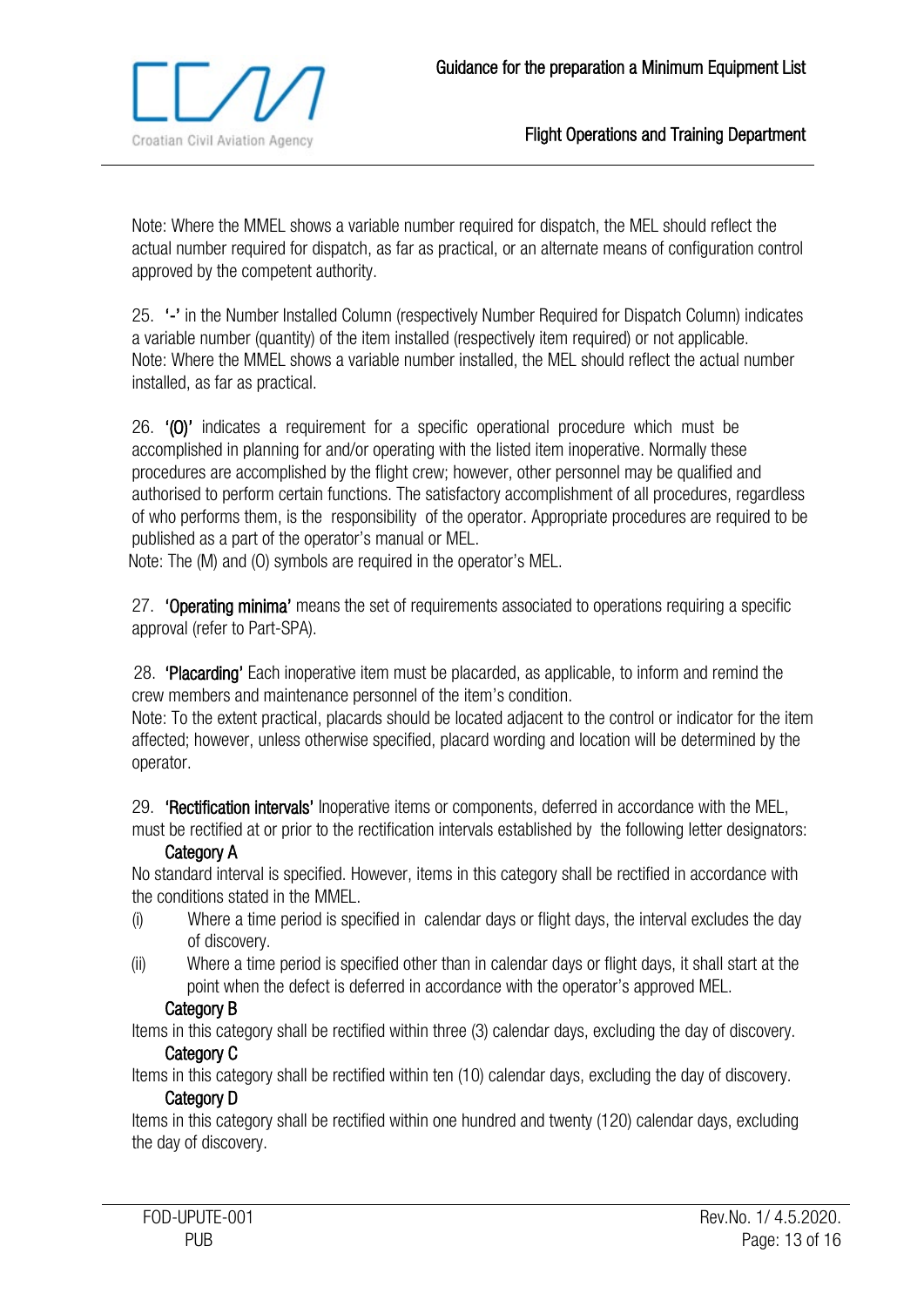

Note: Where the MMEL shows a variable number required for dispatch, the MEL should reflect the actual number required for dispatch, as far as practical, or an alternate means of configuration control approved by the competent authority.

25. '-' in the Number Installed Column (respectively Number Required for Dispatch Column) indicates a variable number (quantity) of the item installed (respectively item required) or not applicable. Note: Where the MMEL shows a variable number installed, the MEL should reflect the actual number installed, as far as practical.

26. '(O)' indicates a requirement for a specific operational procedure which must be accomplished in planning for and/or operating with the listed item inoperative. Normally these procedures are accomplished by the flight crew; however, other personnel may be qualified and authorised to perform certain functions. The satisfactory accomplishment of all procedures, regardless of who performs them, is the responsibility of the operator. Appropriate procedures are required to be published as a part of the operator's manual or MEL.

Note: The (M) and (O) symbols are required in the operator's MEL.

27. **'Operating minima'** means the set of requirements associated to operations requiring a specific approval (refer to Part-SPA).

28. 'Placarding' Each inoperative item must be placarded, as applicable, to inform and remind the crew members and maintenance personnel of the item's condition.

Note: To the extent practical, placards should be located adjacent to the control or indicator for the item affected; however, unless otherwise specified, placard wording and location will be determined by the operator.

29. 'Rectification intervals' Inoperative items or components, deferred in accordance with the MEL, must be rectified at or prior to the rectification intervals established by the following letter designators:

#### Category A

No standard interval is specified. However, items in this category shall be rectified in accordance with the conditions stated in the MMEL.

- (i) Where a time period is specified in calendar days or flight days, the interval excludes the day of discovery.
- (ii) Where a time period is specified other than in calendar days or flight days, it shall start at the point when the defect is deferred in accordance with the operator's approved MEL.

#### Category B

Items in this category shall be rectified within three (3) calendar days, excluding the day of discovery. Category C

Items in this category shall be rectified within ten (10) calendar days, excluding the day of discovery.

#### Category D

Items in this category shall be rectified within one hundred and twenty (120) calendar days, excluding the day of discovery.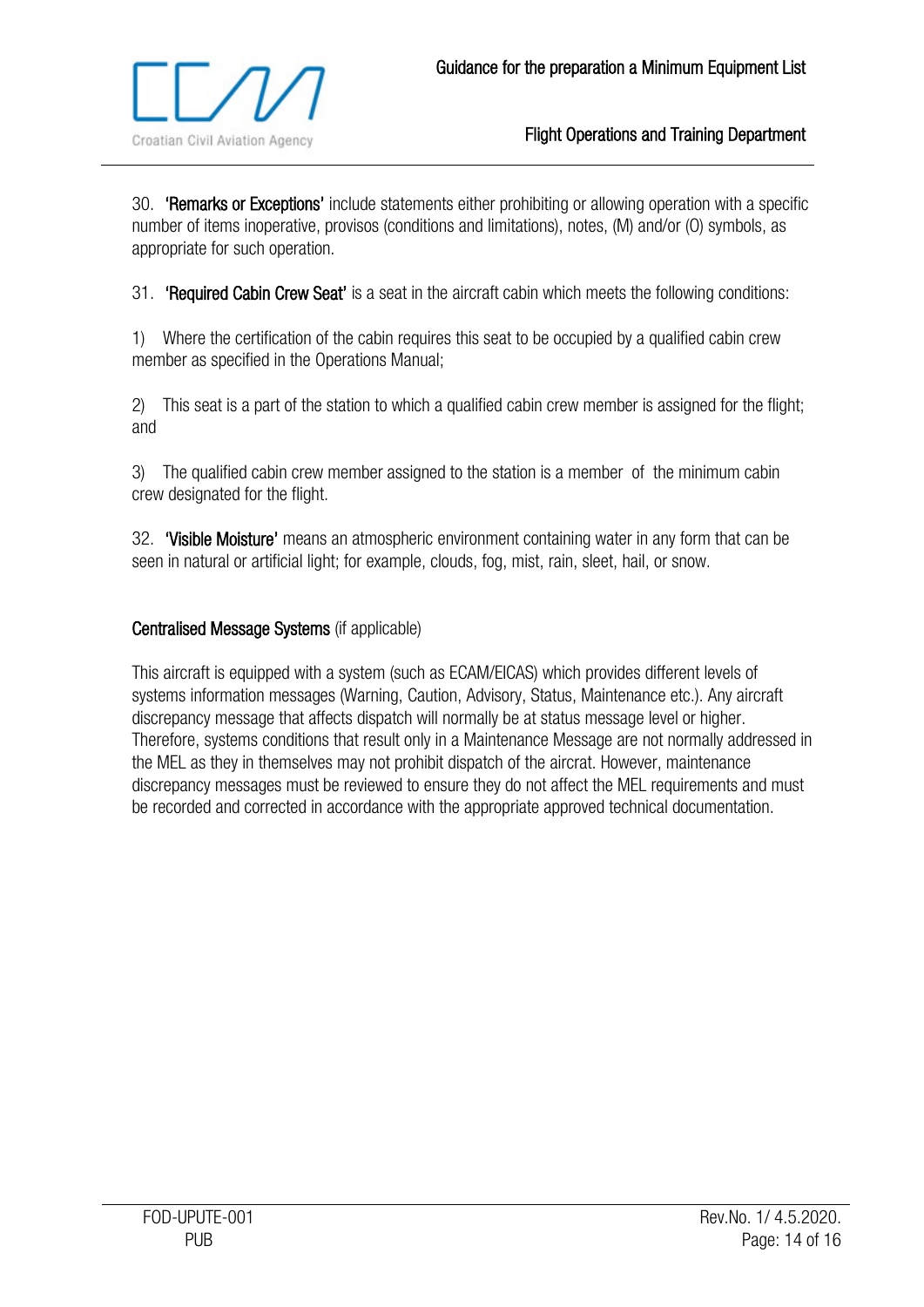

30. 'Remarks or Exceptions' include statements either prohibiting or allowing operation with a specific number of items inoperative, provisos (conditions and limitations), notes, (M) and/or (O) symbols, as appropriate for such operation.

31. **'Required Cabin Crew Seat'** is a seat in the aircraft cabin which meets the following conditions:

1) Where the certification of the cabin requires this seat to be occupied by a qualified cabin crew member as specified in the Operations Manual;

2) This seat is a part of the station to which a qualified cabin crew member is assigned for the flight; and

3) The qualified cabin crew member assigned to the station is a member of the minimum cabin crew designated for the flight.

32. 'Visible Moisture' means an atmospheric environment containing water in any form that can be seen in natural or artificial light; for example, clouds, fog, mist, rain, sleet, hail, or snow.

## Centralised Message Systems (if applicable)

This aircraft is equipped with a system (such as ECAM/EICAS) which provides different levels of systems information messages (Warning, Caution, Advisory, Status, Maintenance etc.). Any aircraft discrepancy message that affects dispatch will normally be at status message level or higher. Therefore, systems conditions that result only in a Maintenance Message are not normally addressed in the MEL as they in themselves may not prohibit dispatch of the aircrat. However, maintenance discrepancy messages must be reviewed to ensure they do not affect the MEL requirements and must be recorded and corrected in accordance with the appropriate approved technical documentation.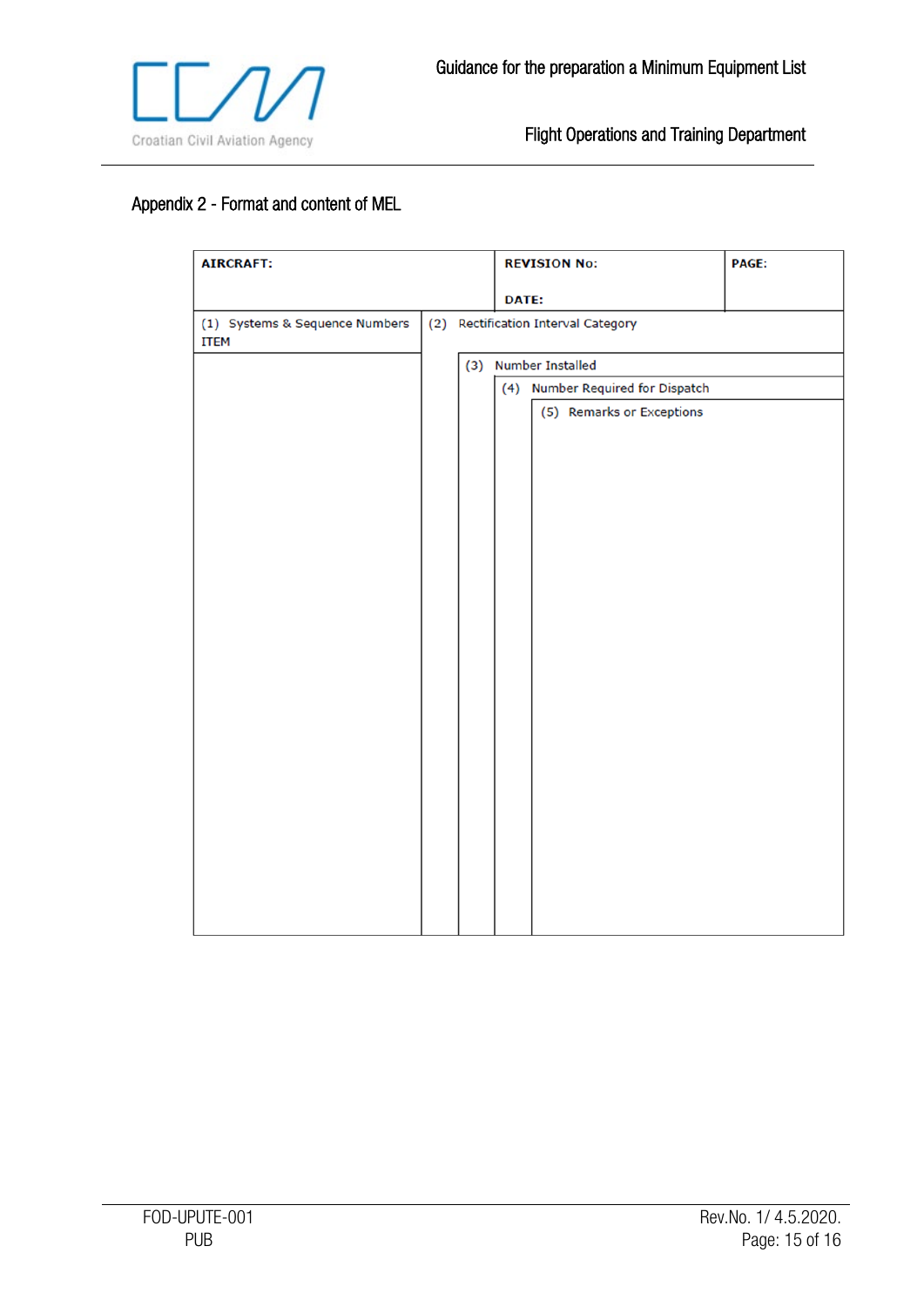

# <span id="page-14-0"></span>Appendix 2 - Format and content of MEL

| <b>AIRCRAFT:</b>                              |  |                      |  | <b>REVISION No:</b>       | <b>PAGE:</b>                        |                                  |  |  |  |
|-----------------------------------------------|--|----------------------|--|---------------------------|-------------------------------------|----------------------------------|--|--|--|
|                                               |  |                      |  | DATE:                     |                                     |                                  |  |  |  |
| (1) Systems & Sequence Numbers<br><b>ITEM</b> |  |                      |  |                           | (2) Rectification Interval Category |                                  |  |  |  |
|                                               |  | (3) Number Installed |  |                           |                                     |                                  |  |  |  |
|                                               |  |                      |  |                           |                                     | (4) Number Required for Dispatch |  |  |  |
|                                               |  |                      |  | (5) Remarks or Exceptions |                                     |                                  |  |  |  |
|                                               |  |                      |  |                           |                                     |                                  |  |  |  |
|                                               |  |                      |  |                           |                                     |                                  |  |  |  |
|                                               |  |                      |  |                           |                                     |                                  |  |  |  |
|                                               |  |                      |  |                           |                                     |                                  |  |  |  |